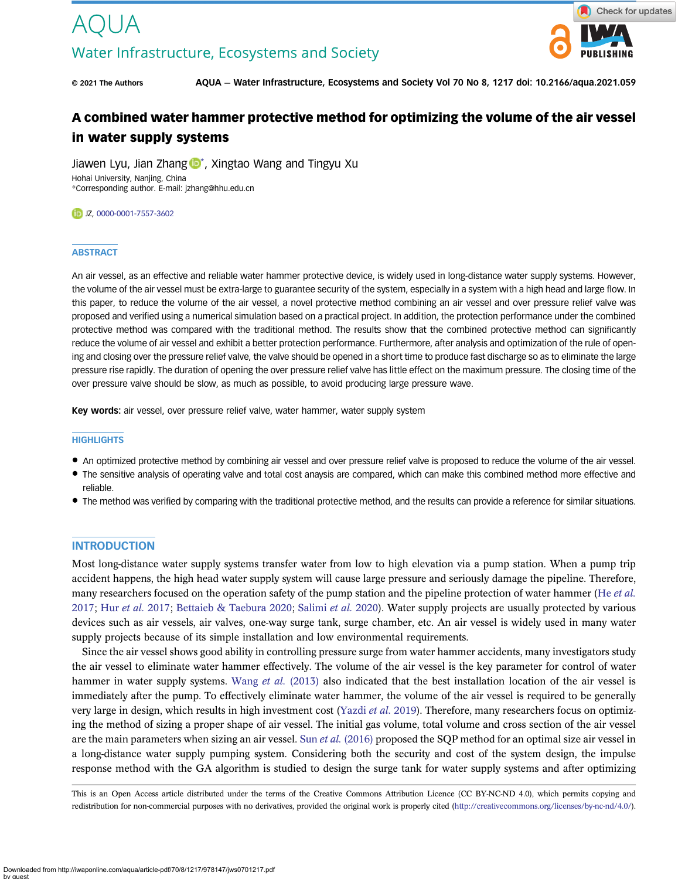

© 2021 The Authors AQUA — Water Infrastructure, Ecosystems and Society Vol 70 No 8, 1217 doi: 10.2166/aqua.2021.059

# A combined water hammer protective method for optimizing the volume of the air vessel in water supply systems

Jiawen Lyu, Jian Zhang  $\mathbb{D}^*$ , Xingtao Wang and Tingyu Xu Hohai University, Nanjing, China \*Corresponding author. E-mail: [jzhang@hhu.edu.cn](mailto:jzhang@hhu.edu.cn)

#### DJZ, [0000-0001-7557-3602](http://orcid.org/0000-0001-7557-3602)

# **ABSTRACT**

An air vessel, as an effective and reliable water hammer protective device, is widely used in long-distance water supply systems. However, the volume of the air vessel must be extra-large to guarantee security of the system, especially in a system with a high head and large flow. In this paper, to reduce the volume of the air vessel, a novel protective method combining an air vessel and over pressure relief valve was proposed and verified using a numerical simulation based on a practical project. In addition, the protection performance under the combined protective method was compared with the traditional method. The results show that the combined protective method can significantly reduce the volume of air vessel and exhibit a better protection performance. Furthermore, after analysis and optimization of the rule of opening and closing over the pressure relief valve, the valve should be opened in a short time to produce fast discharge so as to eliminate the large pressure rise rapidly. The duration of opening the over pressure relief valve has little effect on the maximum pressure. The closing time of the over pressure valve should be slow, as much as possible, to avoid producing large pressure wave.

Key words: air vessel, over pressure relief valve, water hammer, water supply system

# **HIGHLIGHTS**

- An optimized protective method by combining air vessel and over pressure relief valve is proposed to reduce the volume of the air vessel.
- The sensitive analysis of operating valve and total cost anaysis are compared, which can make this combined method more effective and reliable.
- The method was verified by comparing with the traditional protective method, and the results can provide a reference for similar situations.

#### **INTRODUCTION**

Most long-distance water supply systems transfer water from low to high elevation via a pump station. When a pump trip accident happens, the high head water supply system will cause large pressure and seriously damage the pipeline. Therefore, many researchers focused on the operation safety of the pump station and the pipeline protection of water hammer (He [et al.](#page-13-0) [2017;](#page-13-0) Hur [et al.](#page-13-0) 2017; [Bettaieb & Taebura 2020;](#page-12-0) [Salimi](#page-13-0) et al. 2020). Water supply projects are usually protected by various devices such as air vessels, air valves, one-way surge tank, surge chamber, etc. An air vessel is widely used in many water supply projects because of its simple installation and low environmental requirements.

Since the air vessel shows good ability in controlling pressure surge from water hammer accidents, many investigators study the air vessel to eliminate water hammer effectively. The volume of the air vessel is the key parameter for control of water hammer in water supply systems. Wang et al. [\(2013\)](#page-13-0) also indicated that the best installation location of the air vessel is immediately after the pump. To effectively eliminate water hammer, the volume of the air vessel is required to be generally very large in design, which results in high investment cost ([Yazdi](#page-13-0) *et al.* 2019). Therefore, many researchers focus on optimizing the method of sizing a proper shape of air vessel. The initial gas volume, total volume and cross section of the air vessel are the main parameters when sizing an air vessel. Sun et al. [\(2016\)](#page-13-0) proposed the SQP method for an optimal size air vessel in a long-distance water supply pumping system. Considering both the security and cost of the system design, the impulse response method with the GA algorithm is studied to design the surge tank for water supply systems and after optimizing

This is an Open Access article distributed under the terms of the Creative Commons Attribution Licence (CC BY-NC-ND 4.0), which permits copying and redistribution for non-commercial purposes with no derivatives, provided the original work is properly cited ([http://creativecommons.org/licenses/by-nc-nd/4.0/\)](http://creativecommons.org/licenses/by-nc-nd/4.0/).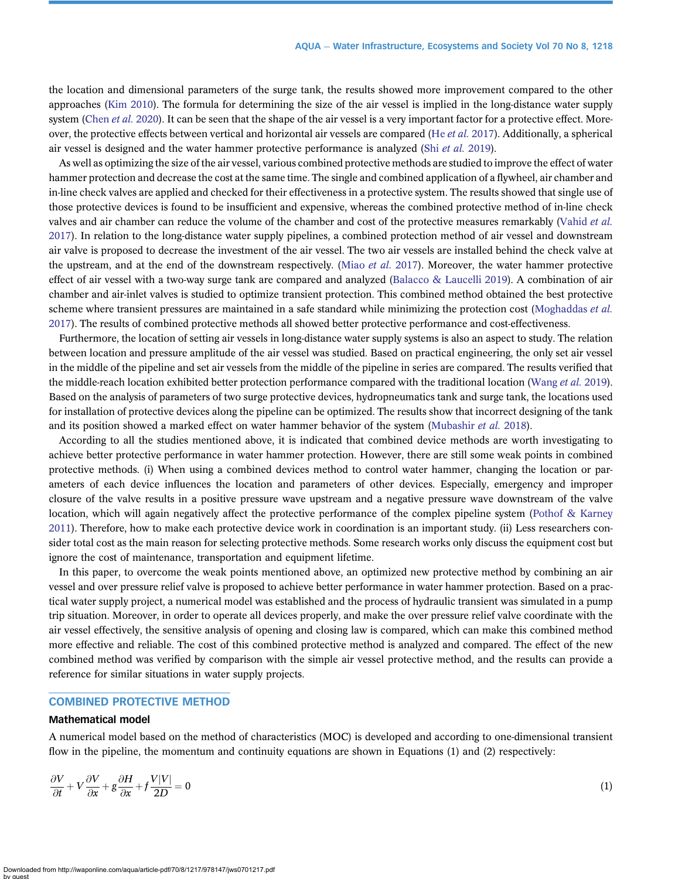the location and dimensional parameters of the surge tank, the results showed more improvement compared to the other approaches ([Kim 2010](#page-13-0)). The formula for determining the size of the air vessel is implied in the long-distance water supply system ([Chen](#page-12-0) et al. 2020). It can be seen that the shape of the air vessel is a very important factor for a protective effect. More-over, the protective effects between vertical and horizontal air vessels are compared (He et al. [2017\)](#page-13-0). Additionally, a spherical air vessel is designed and the water hammer protective performance is analyzed (Shi [et al.](#page-13-0) 2019).

As well as optimizing the size of the air vessel, various combined protective methods are studied to improve the effect of water hammer protection and decrease the cost at the same time. The single and combined application of a flywheel, air chamber and in-line check valves are applied and checked for their effectiveness in a protective system. The results showed that single use of those protective devices is found to be insufficient and expensive, whereas the combined protective method of in-line check valves and air chamber can reduce the volume of the chamber and cost of the protective measures remarkably [\(Vahid](#page-13-0) et al. [2017](#page-13-0)). In relation to the long-distance water supply pipelines, a combined protection method of air vessel and downstream air valve is proposed to decrease the investment of the air vessel. The two air vessels are installed behind the check valve at the upstream, and at the end of the downstream respectively. ([Miao](#page-13-0) et al. 2017). Moreover, the water hammer protective effect of air vessel with a two-way surge tank are compared and analyzed ([Balacco & Laucelli 2019\)](#page-12-0). A combination of air chamber and air-inlet valves is studied to optimize transient protection. This combined method obtained the best protective scheme where transient pressures are maintained in a safe standard while minimizing the protection cost ([Moghaddas](#page-13-0) et al. [2017](#page-13-0)). The results of combined protective methods all showed better protective performance and cost-effectiveness.

Furthermore, the location of setting air vessels in long-distance water supply systems is also an aspect to study. The relation between location and pressure amplitude of the air vessel was studied. Based on practical engineering, the only set air vessel in the middle of the pipeline and set air vessels from the middle of the pipeline in series are compared. The results verified that the middle-reach location exhibited better protection performance compared with the traditional location [\(Wang](#page-13-0) et al. 2019). Based on the analysis of parameters of two surge protective devices, hydropneumatics tank and surge tank, the locations used for installation of protective devices along the pipeline can be optimized. The results show that incorrect designing of the tank and its position showed a marked effect on water hammer behavior of the system ([Mubashir](#page-13-0) et al. 2018).

According to all the studies mentioned above, it is indicated that combined device methods are worth investigating to achieve better protective performance in water hammer protection. However, there are still some weak points in combined protective methods. (i) When using a combined devices method to control water hammer, changing the location or parameters of each device influences the location and parameters of other devices. Especially, emergency and improper closure of the valve results in a positive pressure wave upstream and a negative pressure wave downstream of the valve location, which will again negatively affect the protective performance of the complex pipeline system [\(Pothof & Karney](#page-13-0) [2011](#page-13-0)). Therefore, how to make each protective device work in coordination is an important study. (ii) Less researchers consider total cost as the main reason for selecting protective methods. Some research works only discuss the equipment cost but ignore the cost of maintenance, transportation and equipment lifetime.

In this paper, to overcome the weak points mentioned above, an optimized new protective method by combining an air vessel and over pressure relief valve is proposed to achieve better performance in water hammer protection. Based on a practical water supply project, a numerical model was established and the process of hydraulic transient was simulated in a pump trip situation. Moreover, in order to operate all devices properly, and make the over pressure relief valve coordinate with the air vessel effectively, the sensitive analysis of opening and closing law is compared, which can make this combined method more effective and reliable. The cost of this combined protective method is analyzed and compared. The effect of the new combined method was verified by comparison with the simple air vessel protective method, and the results can provide a reference for similar situations in water supply projects.

# COMBINED PROTECTIVE METHOD

#### Mathematical model

A numerical model based on the method of characteristics (MOC) is developed and according to one-dimensional transient flow in the pipeline, the momentum and continuity equations are shown in Equations (1) and (2) respectively:

$$
\frac{\partial V}{\partial t} + V \frac{\partial V}{\partial x} + g \frac{\partial H}{\partial x} + f \frac{V|V|}{2D} = 0
$$
\n(1)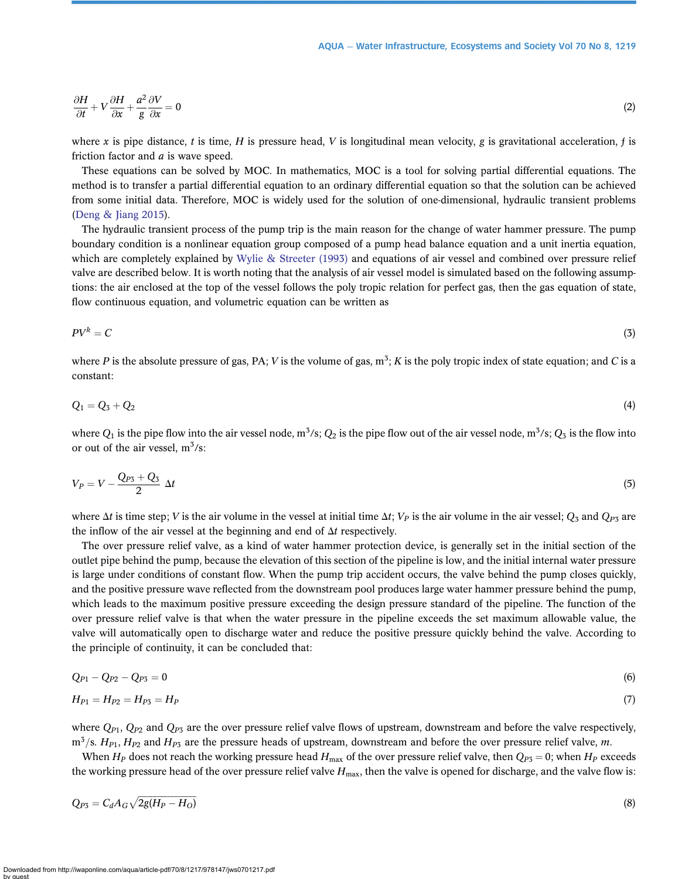$$
\frac{\partial H}{\partial t} + V \frac{\partial H}{\partial x} + \frac{a^2}{g} \frac{\partial V}{\partial x} = 0
$$
\n(2)

where x is pipe distance, t is time, H is pressure head, V is longitudinal mean velocity, g is gravitational acceleration, f is friction factor and  $a$  is wave speed.

These equations can be solved by MOC. In mathematics, MOC is a tool for solving partial differential equations. The method is to transfer a partial differential equation to an ordinary differential equation so that the solution can be achieved from some initial data. Therefore, MOC is widely used for the solution of one-dimensional, hydraulic transient problems [\(Deng & Jiang 2015](#page-13-0)).

The hydraulic transient process of the pump trip is the main reason for the change of water hammer pressure. The pump boundary condition is a nonlinear equation group composed of a pump head balance equation and a unit inertia equation, which are completely explained by [Wylie & Streeter \(1993\)](#page-13-0) and equations of air vessel and combined over pressure relief valve are described below. It is worth noting that the analysis of air vessel model is simulated based on the following assumptions: the air enclosed at the top of the vessel follows the poly tropic relation for perfect gas, then the gas equation of state, flow continuous equation, and volumetric equation can be written as

$$
PV^k = C \tag{3}
$$

where P is the absolute pressure of gas, PA; V is the volume of gas,  $m^3$ ; K is the poly tropic index of state equation; and C is a constant:

$$
Q_1 = Q_3 + Q_2 \tag{4}
$$

where  $Q_1$  is the pipe flow into the air vessel node, m<sup>3</sup>/s;  $Q_2$  is the pipe flow out of the air vessel node, m<sup>3</sup>/s;  $Q_3$  is the flow into or out of the air vessel,  $m^3/s$ :

$$
V_P = V - \frac{Q_{P3} + Q_3}{2} \Delta t \tag{5}
$$

where  $\Delta t$  is time step; V is the air volume in the vessel at initial time  $\Delta t$ ;  $V_P$  is the air volume in the air vessel;  $Q_3$  and  $Q_{P3}$  are the inflow of the air vessel at the beginning and end of  $\Delta t$  respectively.

The over pressure relief valve, as a kind of water hammer protection device, is generally set in the initial section of the outlet pipe behind the pump, because the elevation of this section of the pipeline is low, and the initial internal water pressure is large under conditions of constant flow. When the pump trip accident occurs, the valve behind the pump closes quickly, and the positive pressure wave reflected from the downstream pool produces large water hammer pressure behind the pump, which leads to the maximum positive pressure exceeding the design pressure standard of the pipeline. The function of the over pressure relief valve is that when the water pressure in the pipeline exceeds the set maximum allowable value, the valve will automatically open to discharge water and reduce the positive pressure quickly behind the valve. According to the principle of continuity, it can be concluded that:

$$
Q_{P1} - Q_{P2} - Q_{P3} = 0 \tag{6}
$$

$$
H_{P1} = H_{P2} = H_{P3} = H_P \tag{7}
$$

where  $Q_{P1}$ ,  $Q_{P2}$  and  $Q_{P3}$  are the over pressure relief valve flows of upstream, downstream and before the valve respectively,  $m^3$ /s.  $H_{P1}$ ,  $H_{P2}$  and  $H_{P3}$  are the pressure heads of upstream, downstream and before the over pressure relief valve, m.

When  $H_P$  does not reach the working pressure head  $H_{\text{max}}$  of the over pressure relief valve, then  $Q_{P3} = 0$ ; when  $H_P$  exceeds the working pressure head of the over pressure relief valve  $H_{\text{max}}$ , then the valve is opened for discharge, and the valve flow is:

$$
Q_{P3} = C_d A_G \sqrt{2g(H_P - H_O)}
$$
\n
$$
\tag{8}
$$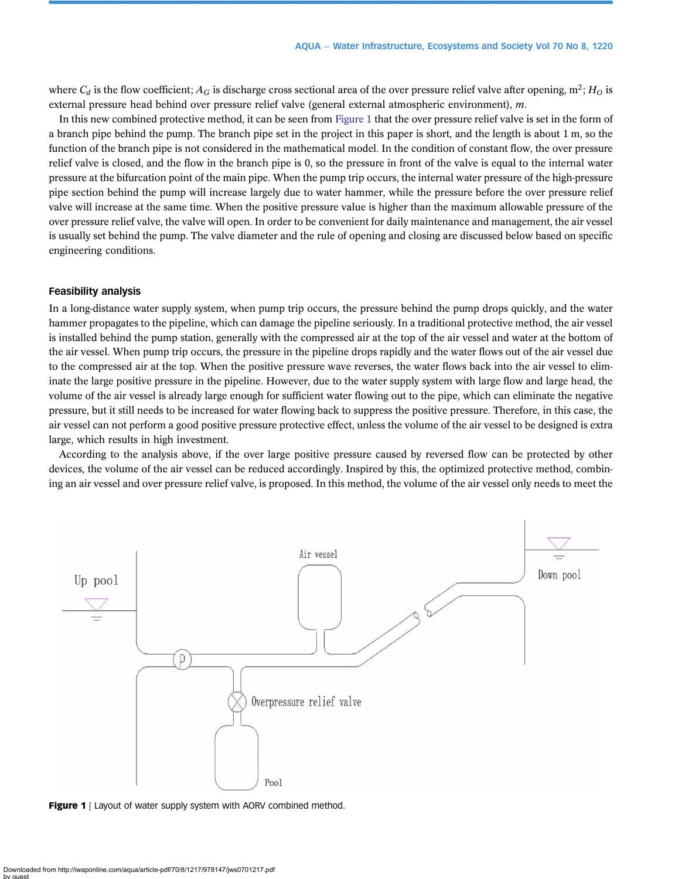where  $C_d$  is the flow coefficient;  $A_G$  is discharge cross sectional area of the over pressure relief valve after opening,  $m^2$ ;  $H_O$  is external pressure head behind over pressure relief valve (general external atmospheric environment), m.

In this new combined protective method, it can be seen from Figure 1 that the over pressure relief valve is set in the form of a branch pipe behind the pump. The branch pipe set in the project in this paper is short, and the length is about 1 m, so the function of the branch pipe is not considered in the mathematical model. In the condition of constant flow, the over pressure relief valve is closed, and the flow in the branch pipe is 0, so the pressure in front of the valve is equal to the internal water pressure at the bifurcation point of the main pipe. When the pump trip occurs, the internal water pressure of the high-pressure pipe section behind the pump will increase largely due to water hammer, while the pressure before the over pressure relief valve will increase at the same time. When the positive pressure value is higher than the maximum allowable pressure of the over pressure relief valve, the valve will open. In order to be convenient for daily maintenance and management, the air vessel is usually set behind the pump. The valve diameter and the rule of opening and closing are discussed below based on specific engineering conditions.

#### Feasibility analysis

In a long-distance water supply system, when pump trip occurs, the pressure behind the pump drops quickly, and the water hammer propagates to the pipeline, which can damage the pipeline seriously. In a traditional protective method, the air vessel is installed behind the pump station, generally with the compressed air at the top of the air vessel and water at the bottom of the air vessel. When pump trip occurs, the pressure in the pipeline drops rapidly and the water flows out of the air vessel due to the compressed air at the top. When the positive pressure wave reverses, the water flows back into the air vessel to eliminate the large positive pressure in the pipeline. However, due to the water supply system with large flow and large head, the volume of the air vessel is already large enough for sufficient water flowing out to the pipe, which can eliminate the negative pressure, but it still needs to be increased for water flowing back to suppress the positive pressure. Therefore, in this case, the air vessel can not perform a good positive pressure protective effect, unless the volume of the air vessel to be designed is extra large, which results in high investment.

According to the analysis above, if the over large positive pressure caused by reversed flow can be protected by other devices, the volume of the air vessel can be reduced accordingly. Inspired by this, the optimized protective method, combining an air vessel and over pressure relief valve, is proposed. In this method, the volume of the air vessel only needs to meet the



Figure 1 | Layout of water supply system with AORV combined method.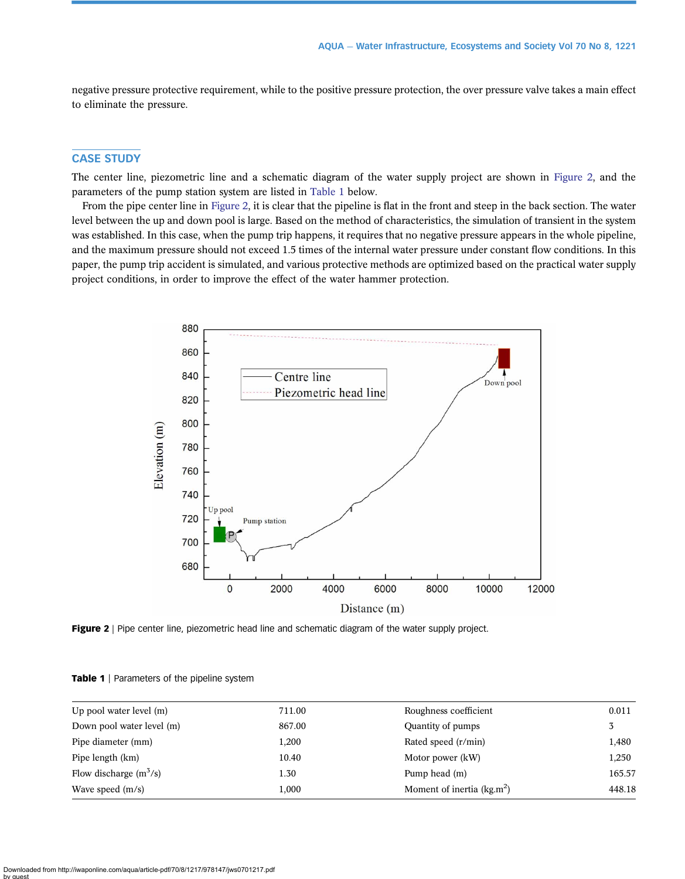<span id="page-4-0"></span>negative pressure protective requirement, while to the positive pressure protection, the over pressure valve takes a main effect to eliminate the pressure.

# CASE STUDY

The center line, piezometric line and a schematic diagram of the water supply project are shown in Figure 2, and the parameters of the pump station system are listed in Table 1 below.

From the pipe center line in Figure 2, it is clear that the pipeline is flat in the front and steep in the back section. The water level between the up and down pool is large. Based on the method of characteristics, the simulation of transient in the system was established. In this case, when the pump trip happens, it requires that no negative pressure appears in the whole pipeline, and the maximum pressure should not exceed 1.5 times of the internal water pressure under constant flow conditions. In this paper, the pump trip accident is simulated, and various protective methods are optimized based on the practical water supply project conditions, in order to improve the effect of the water hammer protection.



Figure 2 | Pipe center line, piezometric head line and schematic diagram of the water supply project.

| Up pool water level $(m)$ | 711.00 | Roughness coefficient       | 0.011  |
|---------------------------|--------|-----------------------------|--------|
| Down pool water level (m) | 867.00 | Quantity of pumps           |        |
| Pipe diameter (mm)        | 1,200  | Rated speed (r/min)         | 1,480  |
| Pipe length (km)          | 10.40  | Motor power (kW)            | 1,250  |
| Flow discharge $(m^3/s)$  | 1.30   | Pump head (m)               | 165.57 |
| Wave speed $(m/s)$        | 1,000  | Moment of inertia $(kg.m2)$ | 448.18 |
|                           |        |                             |        |

Table 1 | Parameters of the pipeline system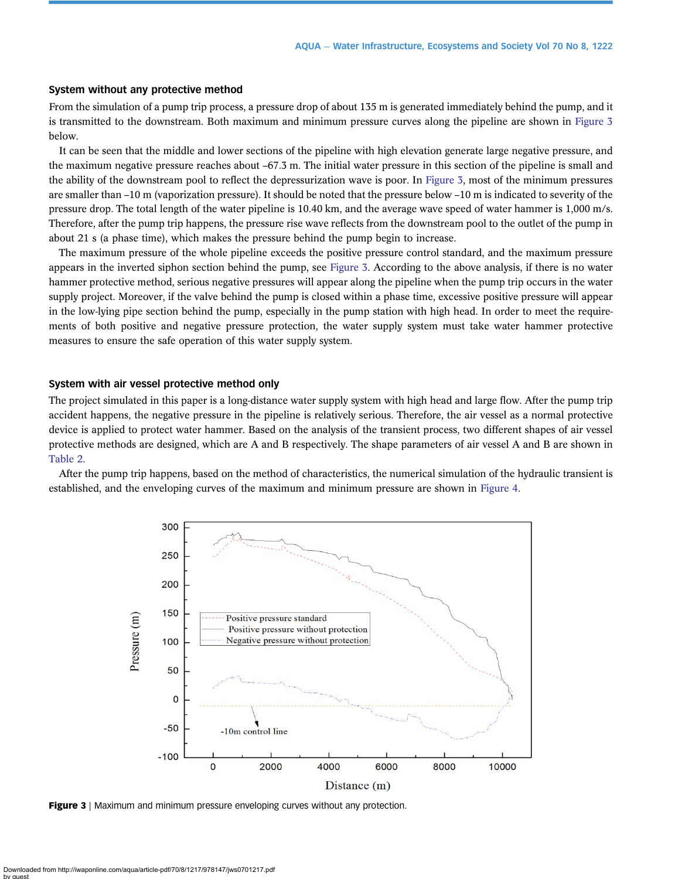#### System without any protective method

From the simulation of a pump trip process, a pressure drop of about 135 m is generated immediately behind the pump, and it is transmitted to the downstream. Both maximum and minimum pressure curves along the pipeline are shown in Figure 3 below.

It can be seen that the middle and lower sections of the pipeline with high elevation generate large negative pressure, and the maximum negative pressure reaches about –67.3 m. The initial water pressure in this section of the pipeline is small and the ability of the downstream pool to reflect the depressurization wave is poor. In Figure 3, most of the minimum pressures are smaller than –10 m (vaporization pressure). It should be noted that the pressure below –10 m is indicated to severity of the pressure drop. The total length of the water pipeline is 10.40 km, and the average wave speed of water hammer is 1,000 m/s. Therefore, after the pump trip happens, the pressure rise wave reflects from the downstream pool to the outlet of the pump in about 21 s (a phase time), which makes the pressure behind the pump begin to increase.

The maximum pressure of the whole pipeline exceeds the positive pressure control standard, and the maximum pressure appears in the inverted siphon section behind the pump, see Figure 3. According to the above analysis, if there is no water hammer protective method, serious negative pressures will appear along the pipeline when the pump trip occurs in the water supply project. Moreover, if the valve behind the pump is closed within a phase time, excessive positive pressure will appear in the low-lying pipe section behind the pump, especially in the pump station with high head. In order to meet the requirements of both positive and negative pressure protection, the water supply system must take water hammer protective measures to ensure the safe operation of this water supply system.

#### System with air vessel protective method only

The project simulated in this paper is a long-distance water supply system with high head and large flow. After the pump trip accident happens, the negative pressure in the pipeline is relatively serious. Therefore, the air vessel as a normal protective device is applied to protect water hammer. Based on the analysis of the transient process, two different shapes of air vessel protective methods are designed, which are A and B respectively. The shape parameters of air vessel A and B are shown in [Table 2.](#page-6-0)

After the pump trip happens, based on the method of characteristics, the numerical simulation of the hydraulic transient is established, and the enveloping curves of the maximum and minimum pressure are shown in [Figure 4](#page-6-0).



**Figure 3** | Maximum and minimum pressure enveloping curves without any protection.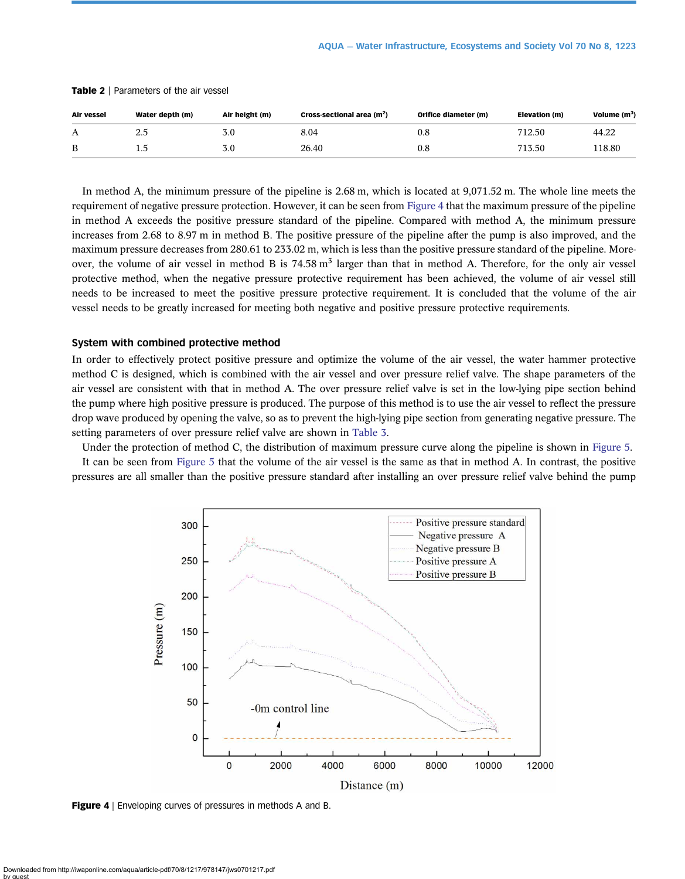| Air vessel | Water depth (m) | Air height (m) | Cross-sectional area $(m2)$ | Orifice diameter (m) | Elevation (m) | Volume $(m^3)$ |
|------------|-----------------|----------------|-----------------------------|----------------------|---------------|----------------|
| Α          | 2.5             | 3.0            | 8.04                        | 0.8                  | 712.50        | 44.22          |
| B          | ⊥.J             | 3.0            | 26.40                       | 0.8                  | 713.50        | 118.80         |

<span id="page-6-0"></span>Table 2 | Parameters of the air vessel

In method A, the minimum pressure of the pipeline is 2.68 m, which is located at 9,071.52 m. The whole line meets the requirement of negative pressure protection. However, it can be seen from Figure 4 that the maximum pressure of the pipeline in method A exceeds the positive pressure standard of the pipeline. Compared with method A, the minimum pressure increases from 2.68 to 8.97 m in method B. The positive pressure of the pipeline after the pump is also improved, and the maximum pressure decreases from 280.61 to 233.02 m, which is less than the positive pressure standard of the pipeline. Moreover, the volume of air vessel in method B is  $74.58 \text{ m}^3$  larger than that in method A. Therefore, for the only air vessel protective method, when the negative pressure protective requirement has been achieved, the volume of air vessel still needs to be increased to meet the positive pressure protective requirement. It is concluded that the volume of the air vessel needs to be greatly increased for meeting both negative and positive pressure protective requirements.

#### System with combined protective method

In order to effectively protect positive pressure and optimize the volume of the air vessel, the water hammer protective method C is designed, which is combined with the air vessel and over pressure relief valve. The shape parameters of the air vessel are consistent with that in method A. The over pressure relief valve is set in the low-lying pipe section behind the pump where high positive pressure is produced. The purpose of this method is to use the air vessel to reflect the pressure drop wave produced by opening the valve, so as to prevent the high-lying pipe section from generating negative pressure. The setting parameters of over pressure relief valve are shown in [Table 3](#page-7-0).

Under the protection of method C, the distribution of maximum pressure curve along the pipeline is shown in [Figure 5.](#page-7-0) It can be seen from [Figure 5](#page-7-0) that the volume of the air vessel is the same as that in method A. In contrast, the positive

pressures are all smaller than the positive pressure standard after installing an over pressure relief valve behind the pump



Figure 4 | Enveloping curves of pressures in methods A and B.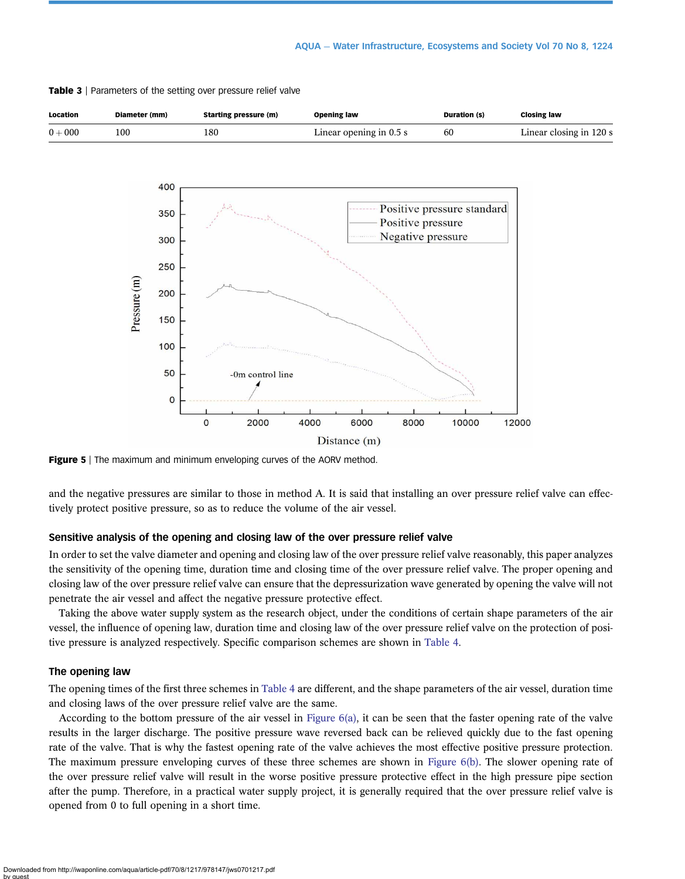

<span id="page-7-0"></span>Table 3 | Parameters of the setting over pressure relief valve

**Figure 5** | The maximum and minimum enveloping curves of the AORV method.

and the negative pressures are similar to those in method A. It is said that installing an over pressure relief valve can effectively protect positive pressure, so as to reduce the volume of the air vessel.

#### Sensitive analysis of the opening and closing law of the over pressure relief valve

In order to set the valve diameter and opening and closing law of the over pressure relief valve reasonably, this paper analyzes the sensitivity of the opening time, duration time and closing time of the over pressure relief valve. The proper opening and closing law of the over pressure relief valve can ensure that the depressurization wave generated by opening the valve will not penetrate the air vessel and affect the negative pressure protective effect.

Taking the above water supply system as the research object, under the conditions of certain shape parameters of the air vessel, the influence of opening law, duration time and closing law of the over pressure relief valve on the protection of positive pressure is analyzed respectively. Specific comparison schemes are shown in [Table 4](#page-8-0).

#### The opening law

The opening times of the first three schemes in [Table 4](#page-8-0) are different, and the shape parameters of the air vessel, duration time and closing laws of the over pressure relief valve are the same.

According to the bottom pressure of the air vessel in Figure  $6(a)$ , it can be seen that the faster opening rate of the valve results in the larger discharge. The positive pressure wave reversed back can be relieved quickly due to the fast opening rate of the valve. That is why the fastest opening rate of the valve achieves the most effective positive pressure protection. The maximum pressure enveloping curves of these three schemes are shown in [Figure 6\(b\)](#page-8-0). The slower opening rate of the over pressure relief valve will result in the worse positive pressure protective effect in the high pressure pipe section after the pump. Therefore, in a practical water supply project, it is generally required that the over pressure relief valve is opened from 0 to full opening in a short time.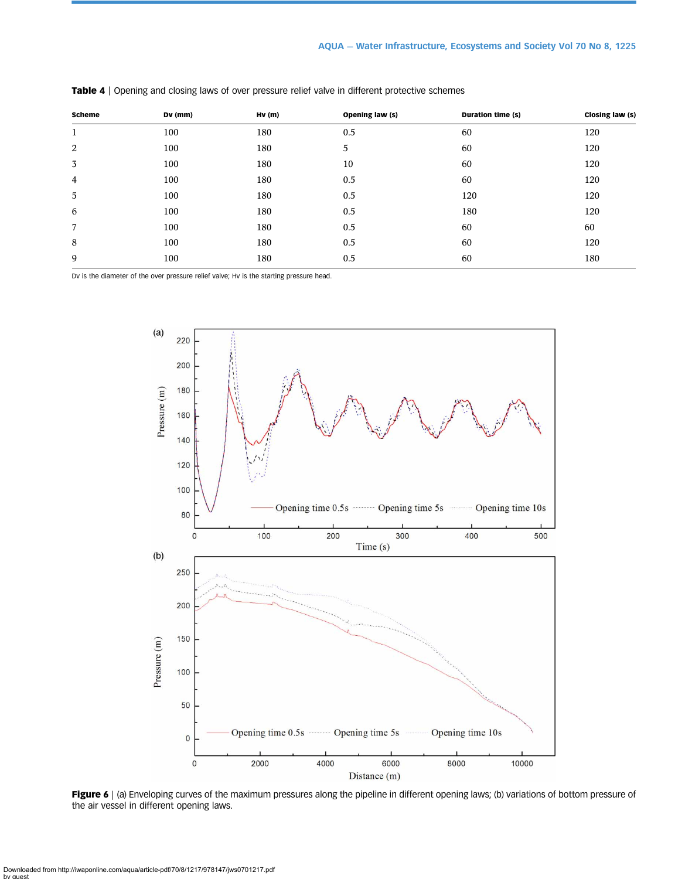| <b>Scheme</b> | Dv (mm) | Hv(m) | Opening law (s) | Duration time (s) | Closing law (s) |
|---------------|---------|-------|-----------------|-------------------|-----------------|
| 1             | 100     | 180   | 0.5             | 60                | 120             |
| 2             | 100     | 180   | 5               | 60                | 120             |
| 3             | 100     | 180   | 10              | 60                | 120             |
| 4             | 100     | 180   | 0.5             | 60                | 120             |
| 5             | 100     | 180   | 0.5             | 120               | 120             |
| 6             | 100     | 180   | 0.5             | 180               | 120             |
| 7             | 100     | 180   | 0.5             | 60                | 60              |
| 8             | 100     | 180   | 0.5             | 60                | 120             |
| 9             | 100     | 180   | 0.5             | 60                | 180             |

<span id="page-8-0"></span>Table 4 | Opening and closing laws of over pressure relief valve in different protective schemes

Dv is the diameter of the over pressure relief valve; Hv is the starting pressure head.



Figure 6 | (a) Enveloping curves of the maximum pressures along the pipeline in different opening laws; (b) variations of bottom pressure of the air vessel in different opening laws.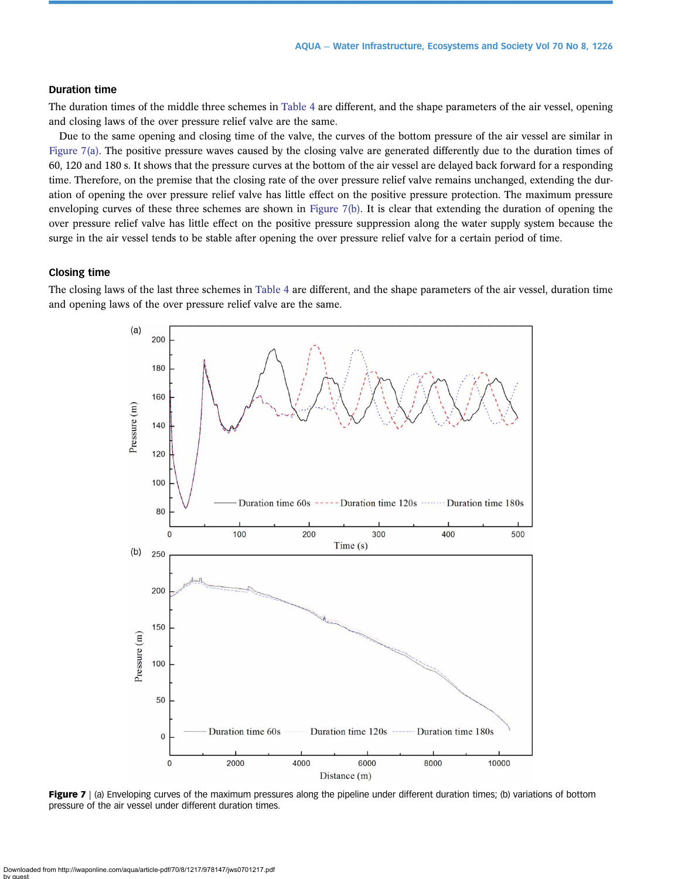# Duration time

The duration times of the middle three schemes in [Table 4](#page-8-0) are different, and the shape parameters of the air vessel, opening and closing laws of the over pressure relief valve are the same.

Due to the same opening and closing time of the valve, the curves of the bottom pressure of the air vessel are similar in Figure 7(a). The positive pressure waves caused by the closing valve are generated differently due to the duration times of 60, 120 and 180 s. It shows that the pressure curves at the bottom of the air vessel are delayed back forward for a responding time. Therefore, on the premise that the closing rate of the over pressure relief valve remains unchanged, extending the duration of opening the over pressure relief valve has little effect on the positive pressure protection. The maximum pressure enveloping curves of these three schemes are shown in Figure 7(b). It is clear that extending the duration of opening the over pressure relief valve has little effect on the positive pressure suppression along the water supply system because the surge in the air vessel tends to be stable after opening the over pressure relief valve for a certain period of time.

#### Closing time

The closing laws of the last three schemes in [Table 4](#page-8-0) are different, and the shape parameters of the air vessel, duration time and opening laws of the over pressure relief valve are the same.



Figure 7 | (a) Enveloping curves of the maximum pressures along the pipeline under different duration times; (b) variations of bottom pressure of the air vessel under different duration times.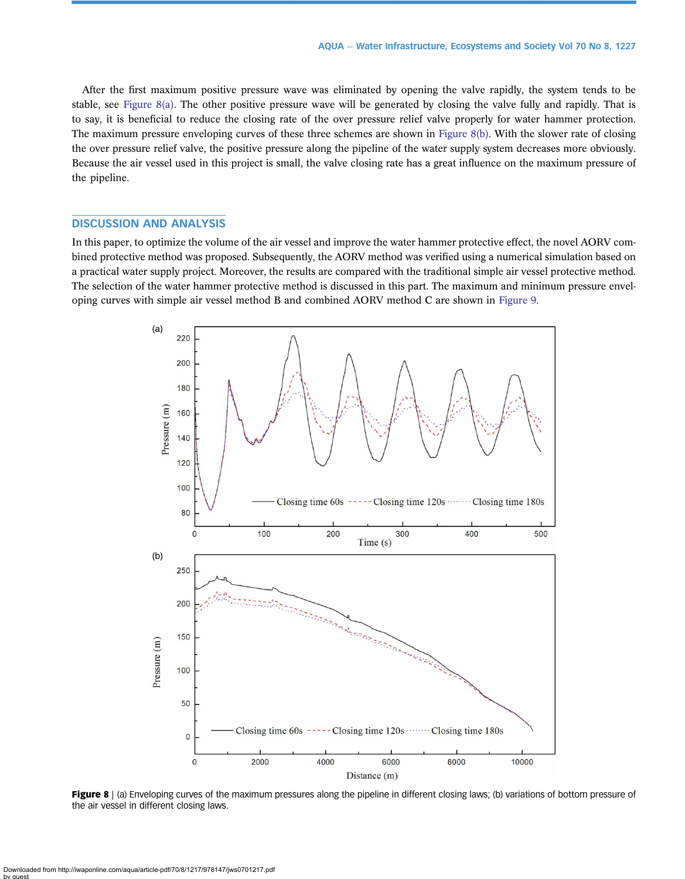After the first maximum positive pressure wave was eliminated by opening the valve rapidly, the system tends to be stable, see Figure 8(a). The other positive pressure wave will be generated by closing the valve fully and rapidly. That is to say, it is beneficial to reduce the closing rate of the over pressure relief valve properly for water hammer protection. The maximum pressure enveloping curves of these three schemes are shown in Figure 8(b). With the slower rate of closing the over pressure relief valve, the positive pressure along the pipeline of the water supply system decreases more obviously. Because the air vessel used in this project is small, the valve closing rate has a great influence on the maximum pressure of the pipeline.

# DISCUSSION AND ANALYSIS

In this paper, to optimize the volume of the air vessel and improve the water hammer protective effect, the novel AORV combined protective method was proposed. Subsequently, the AORV method was verified using a numerical simulation based on a practical water supply project. Moreover, the results are compared with the traditional simple air vessel protective method. The selection of the water hammer protective method is discussed in this part. The maximum and minimum pressure enveloping curves with simple air vessel method B and combined AORV method C are shown in [Figure 9](#page-11-0).



Figure 8 | (a) Enveloping curves of the maximum pressures along the pipeline in different closing laws; (b) variations of bottom pressure of the air vessel in different closing laws.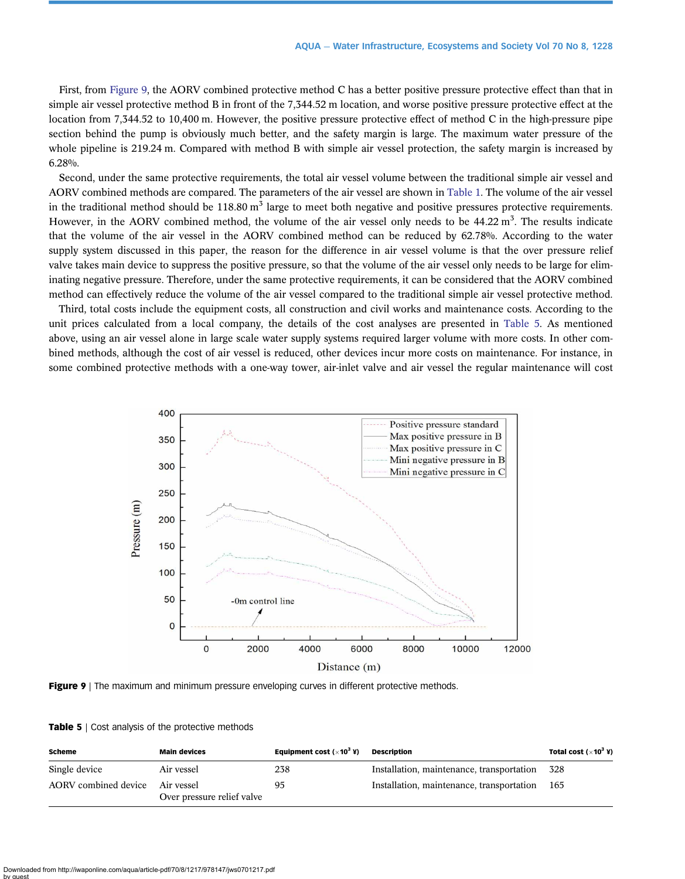<span id="page-11-0"></span>First, from Figure 9, the AORV combined protective method C has a better positive pressure protective effect than that in simple air vessel protective method B in front of the 7,344.52 m location, and worse positive pressure protective effect at the location from 7,344.52 to 10,400 m. However, the positive pressure protective effect of method C in the high-pressure pipe section behind the pump is obviously much better, and the safety margin is large. The maximum water pressure of the whole pipeline is 219.24 m. Compared with method B with simple air vessel protection, the safety margin is increased by 6.28%.

Second, under the same protective requirements, the total air vessel volume between the traditional simple air vessel and AORV combined methods are compared. The parameters of the air vessel are shown in [Table 1.](#page-4-0) The volume of the air vessel in the traditional method should be  $118.80 \text{ m}^3$  large to meet both negative and positive pressures protective requirements. However, in the AORV combined method, the volume of the air vessel only needs to be 44.22 m<sup>3</sup>. The results indicate that the volume of the air vessel in the AORV combined method can be reduced by 62.78%. According to the water supply system discussed in this paper, the reason for the difference in air vessel volume is that the over pressure relief valve takes main device to suppress the positive pressure, so that the volume of the air vessel only needs to be large for eliminating negative pressure. Therefore, under the same protective requirements, it can be considered that the AORV combined method can effectively reduce the volume of the air vessel compared to the traditional simple air vessel protective method.

Third, total costs include the equipment costs, all construction and civil works and maintenance costs. According to the unit prices calculated from a local company, the details of the cost analyses are presented in Table 5. As mentioned above, using an air vessel alone in large scale water supply systems required larger volume with more costs. In other combined methods, although the cost of air vessel is reduced, other devices incur more costs on maintenance. For instance, in some combined protective methods with a one-way tower, air-inlet valve and air vessel the regular maintenance will cost





|  | <b>Table 5</b>   Cost analysis of the protective methods |  |  |  |
|--|----------------------------------------------------------|--|--|--|
|--|----------------------------------------------------------|--|--|--|

| <b>Scheme</b>                   | <b>Main devices</b>        | Equipment cost ( $\times$ 10 <sup>3</sup> ¥) | Description                               | Total cost $(\times 10^3 \text{ Y})$ |
|---------------------------------|----------------------------|----------------------------------------------|-------------------------------------------|--------------------------------------|
| Single device                   | Air vessel                 | 238                                          | Installation, maintenance, transportation | 328                                  |
| AORV combined device Air vessel | Over pressure relief valve | 95                                           | Installation, maintenance, transportation | 165                                  |

Downloaded from http://iwaponline.com/aqua/article-pdf/70/8/1217/978147/jws0701217.pdf by guest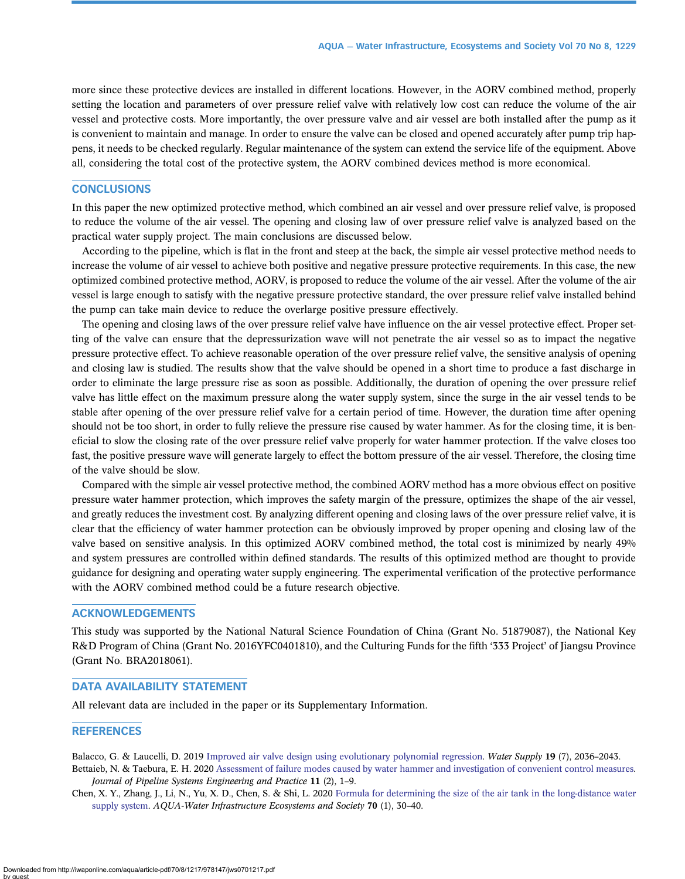<span id="page-12-0"></span>more since these protective devices are installed in different locations. However, in the AORV combined method, properly setting the location and parameters of over pressure relief valve with relatively low cost can reduce the volume of the air vessel and protective costs. More importantly, the over pressure valve and air vessel are both installed after the pump as it is convenient to maintain and manage. In order to ensure the valve can be closed and opened accurately after pump trip happens, it needs to be checked regularly. Regular maintenance of the system can extend the service life of the equipment. Above all, considering the total cost of the protective system, the AORV combined devices method is more economical.

# **CONCLUSIONS**

In this paper the new optimized protective method, which combined an air vessel and over pressure relief valve, is proposed to reduce the volume of the air vessel. The opening and closing law of over pressure relief valve is analyzed based on the practical water supply project. The main conclusions are discussed below.

According to the pipeline, which is flat in the front and steep at the back, the simple air vessel protective method needs to increase the volume of air vessel to achieve both positive and negative pressure protective requirements. In this case, the new optimized combined protective method, AORV, is proposed to reduce the volume of the air vessel. After the volume of the air vessel is large enough to satisfy with the negative pressure protective standard, the over pressure relief valve installed behind the pump can take main device to reduce the overlarge positive pressure effectively.

The opening and closing laws of the over pressure relief valve have influence on the air vessel protective effect. Proper setting of the valve can ensure that the depressurization wave will not penetrate the air vessel so as to impact the negative pressure protective effect. To achieve reasonable operation of the over pressure relief valve, the sensitive analysis of opening and closing law is studied. The results show that the valve should be opened in a short time to produce a fast discharge in order to eliminate the large pressure rise as soon as possible. Additionally, the duration of opening the over pressure relief valve has little effect on the maximum pressure along the water supply system, since the surge in the air vessel tends to be stable after opening of the over pressure relief valve for a certain period of time. However, the duration time after opening should not be too short, in order to fully relieve the pressure rise caused by water hammer. As for the closing time, it is beneficial to slow the closing rate of the over pressure relief valve properly for water hammer protection. If the valve closes too fast, the positive pressure wave will generate largely to effect the bottom pressure of the air vessel. Therefore, the closing time of the valve should be slow.

Compared with the simple air vessel protective method, the combined AORV method has a more obvious effect on positive pressure water hammer protection, which improves the safety margin of the pressure, optimizes the shape of the air vessel, and greatly reduces the investment cost. By analyzing different opening and closing laws of the over pressure relief valve, it is clear that the efficiency of water hammer protection can be obviously improved by proper opening and closing law of the valve based on sensitive analysis. In this optimized AORV combined method, the total cost is minimized by nearly 49% and system pressures are controlled within defined standards. The results of this optimized method are thought to provide guidance for designing and operating water supply engineering. The experimental verification of the protective performance with the AORV combined method could be a future research objective.

# ACKNOWLEDGEMENTS

This study was supported by the National Natural Science Foundation of China (Grant No. 51879087), the National Key R&D Program of China (Grant No. 2016YFC0401810), and the Culturing Funds for the fifth '333 Project' of Jiangsu Province (Grant No. BRA2018061).

#### DATA AVAILABILITY STATEMENT

All relevant data are included in the paper or its Supplementary Information.

#### **REFERENCES**

Balacco, G. & Laucelli, D. 2019 [Improved air valve design using evolutionary polynomial regression.](http://dx.doi.org/10.2166/ws.2019.081) Water Supply 19 (7), 2036–2043.

Bettaieb, N. & Taebura, E. H. 2020 [Assessment of failure modes caused by water hammer and investigation of convenient control measures.](http://dx.doi.org/10.1061/(ASCE)PS.1949-1204.0000446) Journal of Pipeline Systems Engineering and Practice 11 (2), 1–9.

Chen, X. Y., Zhang, J., Li, N., Yu, X. D., Chen, S. & Shi, L. 2020 [Formula for determining the size of the air tank in the long-distance water](http://dx.doi.org/10.2166/aqua.2020.095) [supply system.](http://dx.doi.org/10.2166/aqua.2020.095) AQUA-Water Infrastructure Ecosystems and Society 70 (1), 30-40.